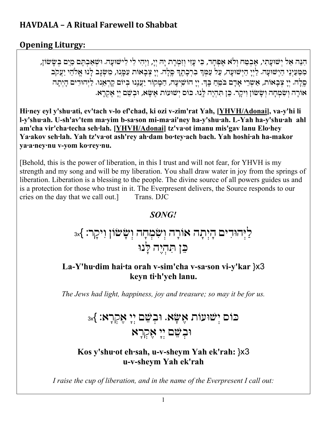### **HAVDALA - A Ritual Farewell to Shabbat**

### **Opening Liturgy:**

הִנֵּה אֵל יִשׁוּעָתִי, אֶבִטַּח וְלֹא אֶפִּחָד, כִּי עָזִי וְזִמְרָת יָה יְיָ, וַיְהִי לִי לִישׁוּעָה. וּשְׁאַבְתֶּם מַיִם בְּשָׂשׂוֹן, מִמַּעַיְנֵי הַיִּשׁוּעָה. לַיִיָ הַיִּשׁוּעָה, עַל עַמִּךְ בִרְכָהֶךְ סֵלָה. יִיָ צִבְאוֹת עִמְנוּ, מִשְׂנֶב לְנוּ אֱלֹהֵי יַעֲקֹב סֶלָה. יִיָ צִבְאוֹת, אַשְׁרֵי אָדָם בֹּמֵהַ בָּךְ. יִיָ הוֹשִׁיעָה, הַמָּקוֹר יַעֲנְנוּ בִיוֹם קָרְאֵנוּ. לַיִּהוּדִים הָיִתָה אורה וִשְׂמְחַה וְשָׂשׁוֹן וִיקֵר. בֵּן תְּהִיֶה לֵנוּ. כּוֹם יְשׁוּעוֹת אֲשָׂא, וּבְשֶׁם יִיַ אֶקְרָא.

Hi·ney eyl y'shu·ati, ev'tach v-lo ef'chad, ki ozi v-zim'rat Yah, [YHVH/Adonai], va-y'hi li l-y'shu·ah. U-sh'av'tem ma·yim b-sa·son mi-ma·ai'ney ha-y'shu·ah. L-Yah ha-y'shu·ah ahl am'cha vir'cha·techa seh·lah. [YHVH/Adonai] tz'va·ot imanu mis'gav lanu Elo·hey Ya·akov seh·lah. Yah tz'va·ot ash'rey ah·dam bo·tey·ach bach. Yah hoshi·ah ha-makor va·a·ney·nu v-yom ko·rey·nu.

[Behold, this is the power of liberation, in this I trust and will not fear, for YHVH is my strength and my song and will be my liberation. You shall draw water in joy from the springs of liberation. Liberation is a blessing to the people. The divine source of all powers guides us and is a protection for those who trust in it. The Everpresent delivers, the Source responds to our cries on the day that we call out. Trans. DJC

### SONG!

# לַיִּחוּדִים הָיִתָה אוֹרָה וְשִׂמְחָה וְשָׂשׂוֹן וִיקָר: }×3 כן תחיה לנו

La-Y'hu dim hai ta orah v-sim'cha v-sa son vi-y'kar }x3 keyn ti·h'yeh lanu.

The Jews had light, happiness, joy and treasure; so may it be for us.

# כום ישועות אֵשָּׂא. וּבִשֵּׁם יִיַ אֵקְרָא: }× וּבִשֵּׁם יִיָ אֵקְרָא

### Kos y'shuot eh sah, u-v-sheym Yah ek'rah: }x3 u-v-shevm Yah ek'rah

I raise the cup of liberation, and in the name of the Everpresent I call out: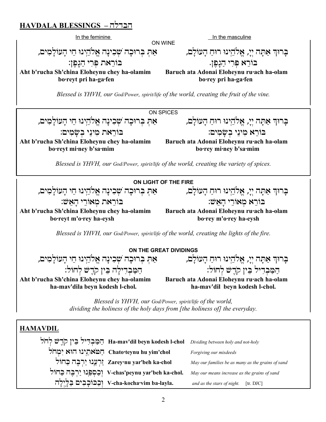### הברלה - HAVDALA BLESSINGS



 $\overline{2}$ 

and as the stars of night. [tr. DJC]

V-cha-kocha·vim ba-layla. וְכַכּוֹכָבִים בַלְיִלָה